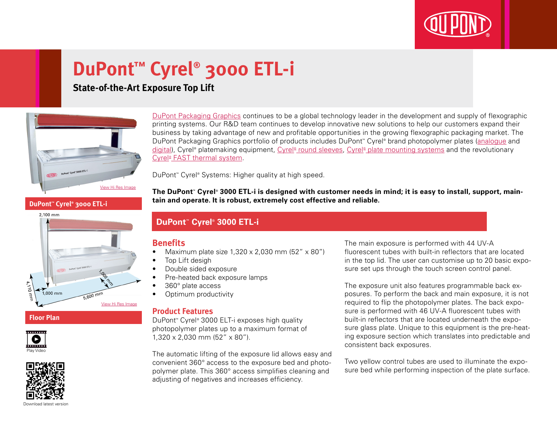

# **DuPont™ Cyrel® 3000 ETL-i**

# **State-of-the-Art Exposure Top Lift**



[DuPont Packaging Graphics](http://www2.dupont.com/Packaging_Graphics/en_GB/index.html) continues to be a global technology leader in the development and supply of flexographic printing systems. Our R&D team continues to develop innovative new solutions to help our customers expand their business by taking advantage of new and profitable opportunities in the growing flexographic packaging market. The DuPont Packaging Graphics portfolio of products includes DuPont™ Cyrel® brand photopolymer plates ([analogue](http://www2.dupont.com/Packaging_Graphics/en_GB/products/solvent_platemaking/index.html) and [digital\)](http://www2.dupont.com/Packaging_Graphics/en_GB/products/digital_wkflow/digital_workflow.html), Cyrel® platemaking equipment, Cyrel® [round sleeves](http://www2.dupont.com/Packaging_Graphics/en_GB/products/cyrel_round/index_cyrelround2.html), Cyrel® [plate mounting systems](http://www2.dupont.com/Packaging_Graphics/en_GB/products/mounting_systems/index.html) and the revolutionary Cyrel<sup>®</sup> [FAST thermal system.](http://www2.dupont.com/Packaging_Graphics/en_GB/products/cyrel_fast/cyrelfast_index.html)

DuPont™ Cyrel® Systems: Higher quality at high speed.

**The DuPont™ Cyrel® 3000 ETL-i is designed with customer needs in mind; it is easy to install, support, maintain and operate. It is robust, extremely cost effective and reliable.**

### **DuPont™ Cyrel® 3000 ETL-i**

#### **Benefits**

- Maximum plate size  $1,320 \times 2,030$  mm  $(52'' \times 80'')$
- Top Lift desigh
- Double sided exposure
- Pre-heated back exposure lamps
- 360° plate access
- Optimum productivity

#### **Product Features**

DuPont™ Cyrel® 3000 ELT-i exposes high quality photopolymer plates up to a maximum format of 1,320 x 2,030 mm (52" x 80").

The automatic lifting of the exposure lid allows easy and convenient 360° access to the exposure bed and photopolymer plate. This 360° access simplifies cleaning and adjusting of negatives and increases efficiency.

The main exposure is performed with 44 UV-A fluorescent tubes with built-in reflectors that are located in the top lid. The user can customise up to 20 basic exposure set ups through the touch screen control panel.

The exposure unit also features programmable back exposures. To perform the back and main exposure, it is not required to flip the photopolymer plates. The back exposure is performed with 46 UV-A fluorescent tubes with built-in reflectors that are located underneath the exposure glass plate. Unique to this equipment is the pre-heating exposure section which translates into predictable and consistent back exposures.

Two yellow control tubes are used to illuminate the exposure bed while performing inspection of the plate surface.

**DuPont™ Cyrel® 3000 ETL-i**



**Floor Plan**